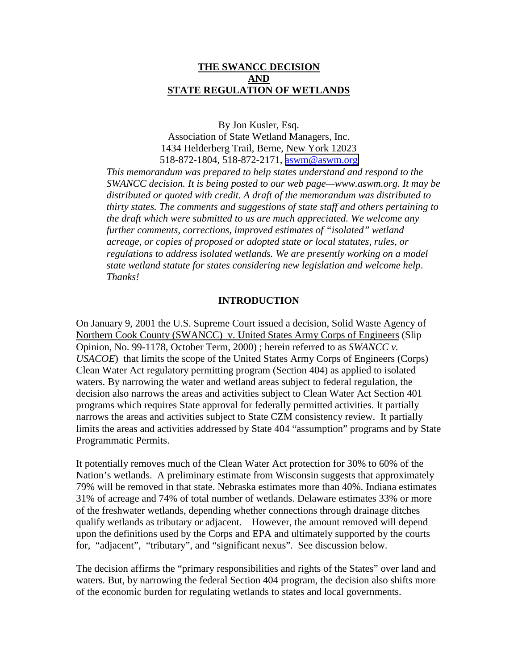## **THE SWANCC DECISION AND STATE REGULATION OF WETLANDS**

By Jon Kusler, Esq. Association of State Wetland Managers, Inc. 1434 Helderberg Trail, Berne, New York 12023 518-872-1804, 518-872-2171, [aswm@aswm.org](mailto:aswm@aswm.org)

*This memorandum was prepared to help states understand and respond to the SWANCC decision. It is being posted to our web page—www.aswm.org. It may be distributed or quoted with credit. A draft of the memorandum was distributed to thirty states. The comments and suggestions of state staff and others pertaining to the draft which were submitted to us are much appreciated. We welcome any further comments, corrections, improved estimates of "isolated" wetland acreage, or copies of proposed or adopted state or local statutes, rules, or regulations to address isolated wetlands. We are presently working on a model state wetland statute for states considering new legislation and welcome help*. *Thanks!*

#### **INTRODUCTION**

On January 9, 2001 the U.S. Supreme Court issued a decision, Solid Waste Agency of Northern Cook County (SWANCC) v. United States Army Corps of Engineers (Slip Opinion, No. 99-1178, October Term, 2000) ; herein referred to as *SWANCC v. USACOE*) that limits the scope of the United States Army Corps of Engineers (Corps) Clean Water Act regulatory permitting program (Section 404) as applied to isolated waters. By narrowing the water and wetland areas subject to federal regulation, the decision also narrows the areas and activities subject to Clean Water Act Section 401 programs which requires State approval for federally permitted activities. It partially narrows the areas and activities subject to State CZM consistency review. It partially limits the areas and activities addressed by State 404 "assumption" programs and by State Programmatic Permits.

It potentially removes much of the Clean Water Act protection for 30% to 60% of the Nation's wetlands. A preliminary estimate from Wisconsin suggests that approximately 79% will be removed in that state. Nebraska estimates more than 40%. Indiana estimates 31% of acreage and 74% of total number of wetlands. Delaware estimates 33% or more of the freshwater wetlands, depending whether connections through drainage ditches qualify wetlands as tributary or adjacent. However, the amount removed will depend upon the definitions used by the Corps and EPA and ultimately supported by the courts for, "adjacent", "tributary", and "significant nexus". See discussion below.

The decision affirms the "primary responsibilities and rights of the States" over land and waters. But, by narrowing the federal Section 404 program, the decision also shifts more of the economic burden for regulating wetlands to states and local governments.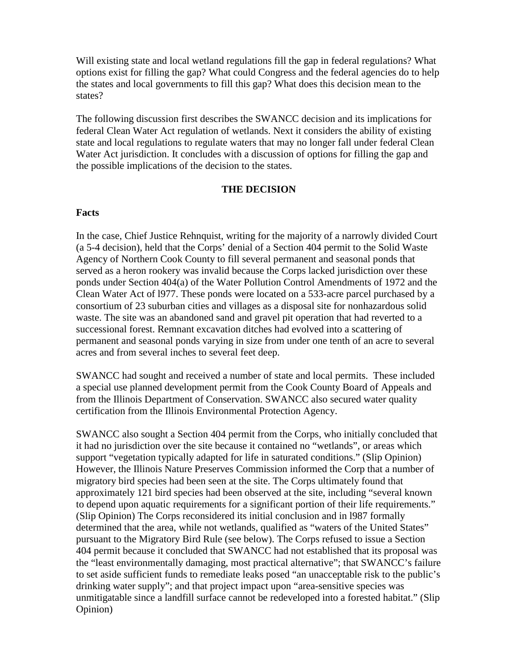Will existing state and local wetland regulations fill the gap in federal regulations? What options exist for filling the gap? What could Congress and the federal agencies do to help the states and local governments to fill this gap? What does this decision mean to the states?

The following discussion first describes the SWANCC decision and its implications for federal Clean Water Act regulation of wetlands. Next it considers the ability of existing state and local regulations to regulate waters that may no longer fall under federal Clean Water Act jurisdiction. It concludes with a discussion of options for filling the gap and the possible implications of the decision to the states.

#### **THE DECISION**

#### **Facts**

In the case, Chief Justice Rehnquist, writing for the majority of a narrowly divided Court (a 5-4 decision), held that the Corps' denial of a Section 404 permit to the Solid Waste Agency of Northern Cook County to fill several permanent and seasonal ponds that served as a heron rookery was invalid because the Corps lacked jurisdiction over these ponds under Section 404(a) of the Water Pollution Control Amendments of 1972 and the Clean Water Act of l977. These ponds were located on a 533-acre parcel purchased by a consortium of 23 suburban cities and villages as a disposal site for nonhazardous solid waste. The site was an abandoned sand and gravel pit operation that had reverted to a successional forest. Remnant excavation ditches had evolved into a scattering of permanent and seasonal ponds varying in size from under one tenth of an acre to several acres and from several inches to several feet deep.

SWANCC had sought and received a number of state and local permits. These included a special use planned development permit from the Cook County Board of Appeals and from the Illinois Department of Conservation. SWANCC also secured water quality certification from the Illinois Environmental Protection Agency.

SWANCC also sought a Section 404 permit from the Corps, who initially concluded that it had no jurisdiction over the site because it contained no "wetlands", or areas which support "vegetation typically adapted for life in saturated conditions." (Slip Opinion) However, the Illinois Nature Preserves Commission informed the Corp that a number of migratory bird species had been seen at the site. The Corps ultimately found that approximately 121 bird species had been observed at the site, including "several known to depend upon aquatic requirements for a significant portion of their life requirements." (Slip Opinion) The Corps reconsidered its initial conclusion and in l987 formally determined that the area, while not wetlands, qualified as "waters of the United States" pursuant to the Migratory Bird Rule (see below). The Corps refused to issue a Section 404 permit because it concluded that SWANCC had not established that its proposal was the "least environmentally damaging, most practical alternative"; that SWANCC's failure to set aside sufficient funds to remediate leaks posed "an unacceptable risk to the public's drinking water supply"; and that project impact upon "area-sensitive species was unmitigatable since a landfill surface cannot be redeveloped into a forested habitat." (Slip Opinion)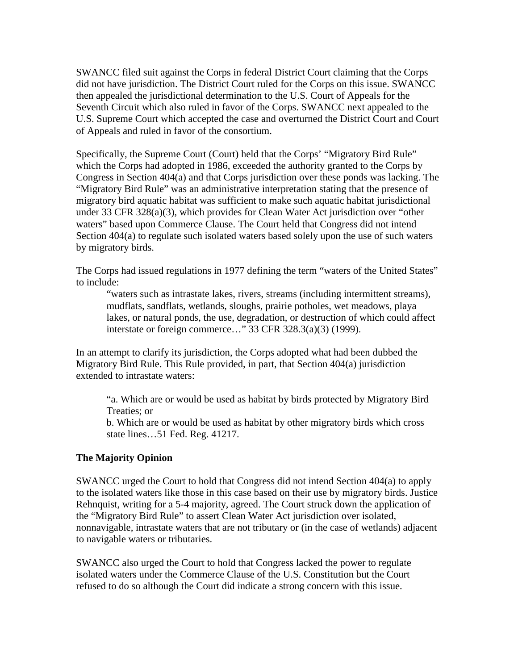SWANCC filed suit against the Corps in federal District Court claiming that the Corps did not have jurisdiction. The District Court ruled for the Corps on this issue. SWANCC then appealed the jurisdictional determination to the U.S. Court of Appeals for the Seventh Circuit which also ruled in favor of the Corps. SWANCC next appealed to the U.S. Supreme Court which accepted the case and overturned the District Court and Court of Appeals and ruled in favor of the consortium.

Specifically, the Supreme Court (Court) held that the Corps' "Migratory Bird Rule" which the Corps had adopted in 1986, exceeded the authority granted to the Corps by Congress in Section 404(a) and that Corps jurisdiction over these ponds was lacking. The "Migratory Bird Rule" was an administrative interpretation stating that the presence of migratory bird aquatic habitat was sufficient to make such aquatic habitat jurisdictional under 33 CFR 328(a)(3), which provides for Clean Water Act jurisdiction over "other waters" based upon Commerce Clause. The Court held that Congress did not intend Section 404(a) to regulate such isolated waters based solely upon the use of such waters by migratory birds.

The Corps had issued regulations in 1977 defining the term "waters of the United States" to include:

"waters such as intrastate lakes, rivers, streams (including intermittent streams), mudflats, sandflats, wetlands, sloughs, prairie potholes, wet meadows, playa lakes, or natural ponds, the use, degradation, or destruction of which could affect interstate or foreign commerce…" 33 CFR 328.3(a)(3) (1999).

In an attempt to clarify its jurisdiction, the Corps adopted what had been dubbed the Migratory Bird Rule. This Rule provided, in part, that Section 404(a) jurisdiction extended to intrastate waters:

"a. Which are or would be used as habitat by birds protected by Migratory Bird Treaties; or

b. Which are or would be used as habitat by other migratory birds which cross state lines…51 Fed. Reg. 41217.

## **The Majority Opinion**

SWANCC urged the Court to hold that Congress did not intend Section 404(a) to apply to the isolated waters like those in this case based on their use by migratory birds. Justice Rehnquist, writing for a 5-4 majority, agreed. The Court struck down the application of the "Migratory Bird Rule" to assert Clean Water Act jurisdiction over isolated, nonnavigable, intrastate waters that are not tributary or (in the case of wetlands) adjacent to navigable waters or tributaries.

SWANCC also urged the Court to hold that Congress lacked the power to regulate isolated waters under the Commerce Clause of the U.S. Constitution but the Court refused to do so although the Court did indicate a strong concern with this issue.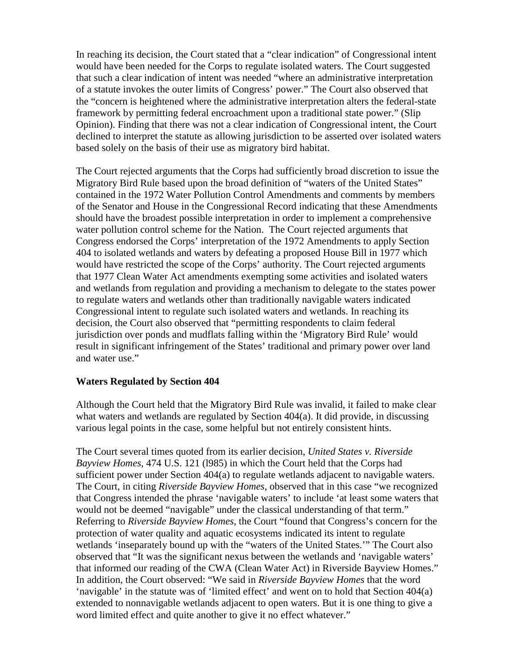In reaching its decision, the Court stated that a "clear indication" of Congressional intent would have been needed for the Corps to regulate isolated waters. The Court suggested that such a clear indication of intent was needed "where an administrative interpretation of a statute invokes the outer limits of Congress' power." The Court also observed that the "concern is heightened where the administrative interpretation alters the federal-state framework by permitting federal encroachment upon a traditional state power." (Slip Opinion). Finding that there was not a clear indication of Congressional intent, the Court declined to interpret the statute as allowing jurisdiction to be asserted over isolated waters based solely on the basis of their use as migratory bird habitat.

The Court rejected arguments that the Corps had sufficiently broad discretion to issue the Migratory Bird Rule based upon the broad definition of "waters of the United States" contained in the 1972 Water Pollution Control Amendments and comments by members of the Senator and House in the Congressional Record indicating that these Amendments should have the broadest possible interpretation in order to implement a comprehensive water pollution control scheme for the Nation. The Court rejected arguments that Congress endorsed the Corps' interpretation of the 1972 Amendments to apply Section 404 to isolated wetlands and waters by defeating a proposed House Bill in 1977 which would have restricted the scope of the Corps' authority. The Court rejected arguments that 1977 Clean Water Act amendments exempting some activities and isolated waters and wetlands from regulation and providing a mechanism to delegate to the states power to regulate waters and wetlands other than traditionally navigable waters indicated Congressional intent to regulate such isolated waters and wetlands. In reaching its decision, the Court also observed that "permitting respondents to claim federal jurisdiction over ponds and mudflats falling within the 'Migratory Bird Rule' would result in significant infringement of the States' traditional and primary power over land and water use."

## **Waters Regulated by Section 404**

Although the Court held that the Migratory Bird Rule was invalid, it failed to make clear what waters and wetlands are regulated by Section 404(a). It did provide, in discussing various legal points in the case, some helpful but not entirely consistent hints.

The Court several times quoted from its earlier decision, *United States v. Riverside Bayview Homes*, 474 U.S. 121 (l985) in which the Court held that the Corps had sufficient power under Section 404(a) to regulate wetlands adjacent to navigable waters. The Court, in citing *Riverside Bayview Homes*, observed that in this case "we recognized that Congress intended the phrase 'navigable waters' to include 'at least some waters that would not be deemed "navigable" under the classical understanding of that term." Referring to *Riverside Bayview Homes*, the Court "found that Congress's concern for the protection of water quality and aquatic ecosystems indicated its intent to regulate wetlands 'inseparately bound up with the "waters of the United States.'" The Court also observed that "It was the significant nexus between the wetlands and 'navigable waters' that informed our reading of the CWA (Clean Water Act) in Riverside Bayview Homes." In addition, the Court observed: "We said in *Riverside Bayview Homes* that the word 'navigable' in the statute was of 'limited effect' and went on to hold that Section 404(a) extended to nonnavigable wetlands adjacent to open waters. But it is one thing to give a word limited effect and quite another to give it no effect whatever."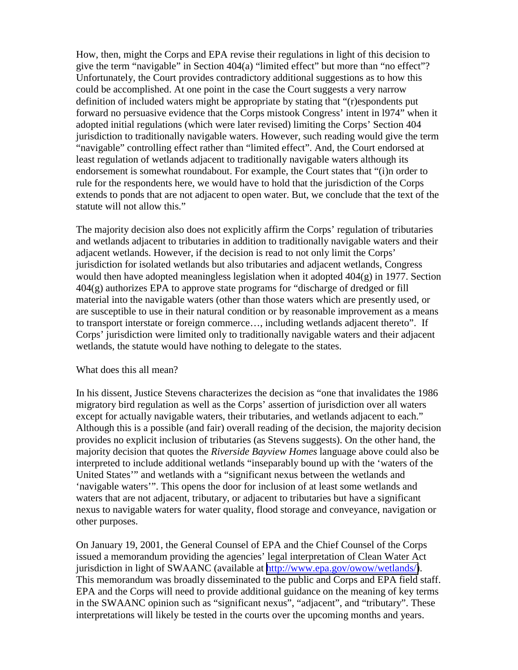How, then, might the Corps and EPA revise their regulations in light of this decision to give the term "navigable" in Section 404(a) "limited effect" but more than "no effect"? Unfortunately, the Court provides contradictory additional suggestions as to how this could be accomplished. At one point in the case the Court suggests a very narrow definition of included waters might be appropriate by stating that "(r)espondents put forward no persuasive evidence that the Corps mistook Congress' intent in l974" when it adopted initial regulations (which were later revised) limiting the Corps' Section 404 jurisdiction to traditionally navigable waters. However, such reading would give the term "navigable" controlling effect rather than "limited effect". And, the Court endorsed at least regulation of wetlands adjacent to traditionally navigable waters although its endorsement is somewhat roundabout. For example, the Court states that "(i)n order to rule for the respondents here, we would have to hold that the jurisdiction of the Corps extends to ponds that are not adjacent to open water. But, we conclude that the text of the statute will not allow this."

The majority decision also does not explicitly affirm the Corps' regulation of tributaries and wetlands adjacent to tributaries in addition to traditionally navigable waters and their adjacent wetlands. However, if the decision is read to not only limit the Corps' jurisdiction for isolated wetlands but also tributaries and adjacent wetlands, Congress would then have adopted meaningless legislation when it adopted 404(g) in 1977. Section 404(g) authorizes EPA to approve state programs for "discharge of dredged or fill material into the navigable waters (other than those waters which are presently used, or are susceptible to use in their natural condition or by reasonable improvement as a means to transport interstate or foreign commerce…, including wetlands adjacent thereto". If Corps' jurisdiction were limited only to traditionally navigable waters and their adjacent wetlands, the statute would have nothing to delegate to the states.

#### What does this all mean?

In his dissent, Justice Stevens characterizes the decision as "one that invalidates the 1986 migratory bird regulation as well as the Corps' assertion of jurisdiction over all waters except for actually navigable waters, their tributaries, and wetlands adjacent to each." Although this is a possible (and fair) overall reading of the decision, the majority decision provides no explicit inclusion of tributaries (as Stevens suggests). On the other hand, the majority decision that quotes the *Riverside Bayview Homes* language above could also be interpreted to include additional wetlands "inseparably bound up with the 'waters of the United States'" and wetlands with a "significant nexus between the wetlands and 'navigable waters'". This opens the door for inclusion of at least some wetlands and waters that are not adjacent, tributary, or adjacent to tributaries but have a significant nexus to navigable waters for water quality, flood storage and conveyance, navigation or other purposes.

On January 19, 2001, the General Counsel of EPA and the Chief Counsel of the Corps issued a memorandum providing the agencies' legal interpretation of Clean Water Act jurisdiction in light of SWAANC (available at [http://www.epa.gov/owow/wetlands/\)](http://www.epa.gov/owow/wetlands/). This memorandum was broadly disseminated to the public and Corps and EPA field staff. EPA and the Corps will need to provide additional guidance on the meaning of key terms in the SWAANC opinion such as "significant nexus", "adjacent", and "tributary". These interpretations will likely be tested in the courts over the upcoming months and years.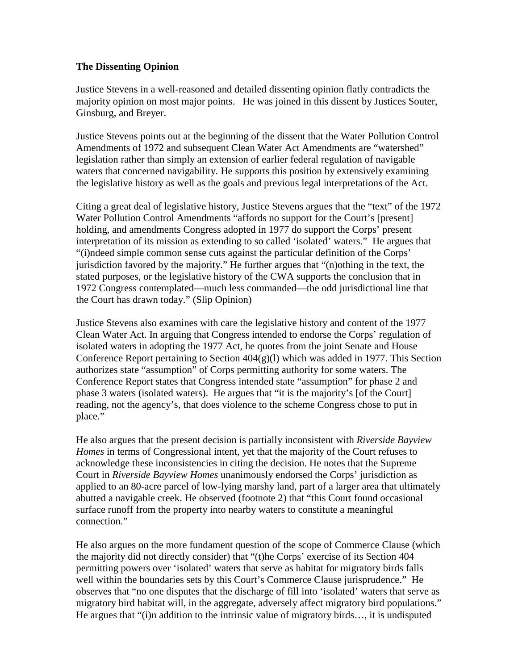## **The Dissenting Opinion**

Justice Stevens in a well-reasoned and detailed dissenting opinion flatly contradicts the majority opinion on most major points. He was joined in this dissent by Justices Souter, Ginsburg, and Breyer.

Justice Stevens points out at the beginning of the dissent that the Water Pollution Control Amendments of 1972 and subsequent Clean Water Act Amendments are "watershed" legislation rather than simply an extension of earlier federal regulation of navigable waters that concerned navigability. He supports this position by extensively examining the legislative history as well as the goals and previous legal interpretations of the Act.

Citing a great deal of legislative history, Justice Stevens argues that the "text" of the 1972 Water Pollution Control Amendments "affords no support for the Court's [present] holding, and amendments Congress adopted in 1977 do support the Corps' present interpretation of its mission as extending to so called 'isolated' waters." He argues that "(i)ndeed simple common sense cuts against the particular definition of the Corps' jurisdiction favored by the majority." He further argues that "(n)othing in the text, the stated purposes, or the legislative history of the CWA supports the conclusion that in 1972 Congress contemplated—much less commanded—the odd jurisdictional line that the Court has drawn today." (Slip Opinion)

Justice Stevens also examines with care the legislative history and content of the 1977 Clean Water Act. In arguing that Congress intended to endorse the Corps' regulation of isolated waters in adopting the 1977 Act, he quotes from the joint Senate and House Conference Report pertaining to Section  $404(g)(1)$  which was added in 1977. This Section authorizes state "assumption" of Corps permitting authority for some waters. The Conference Report states that Congress intended state "assumption" for phase 2 and phase 3 waters (isolated waters). He argues that "it is the majority's [of the Court] reading, not the agency's, that does violence to the scheme Congress chose to put in place."

He also argues that the present decision is partially inconsistent with *Riverside Bayview Homes* in terms of Congressional intent, yet that the majority of the Court refuses to acknowledge these inconsistencies in citing the decision. He notes that the Supreme Court in *Riverside Bayview Homes* unanimously endorsed the Corps' jurisdiction as applied to an 80-acre parcel of low-lying marshy land, part of a larger area that ultimately abutted a navigable creek. He observed (footnote 2) that "this Court found occasional surface runoff from the property into nearby waters to constitute a meaningful connection."

He also argues on the more fundament question of the scope of Commerce Clause (which the majority did not directly consider) that "(t)he Corps' exercise of its Section 404 permitting powers over 'isolated' waters that serve as habitat for migratory birds falls well within the boundaries sets by this Court's Commerce Clause jurisprudence." He observes that "no one disputes that the discharge of fill into 'isolated' waters that serve as migratory bird habitat will, in the aggregate, adversely affect migratory bird populations." He argues that "(i)n addition to the intrinsic value of migratory birds…, it is undisputed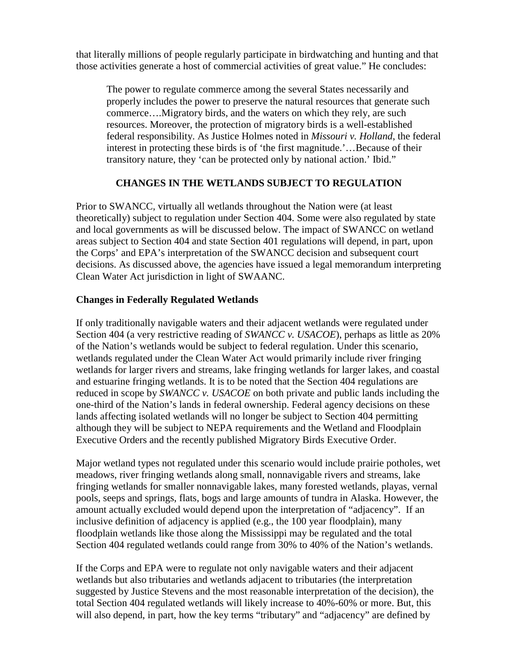that literally millions of people regularly participate in birdwatching and hunting and that those activities generate a host of commercial activities of great value." He concludes:

The power to regulate commerce among the several States necessarily and properly includes the power to preserve the natural resources that generate such commerce….Migratory birds, and the waters on which they rely, are such resources. Moreover, the protection of migratory birds is a well-established federal responsibility. As Justice Holmes noted in *Missouri v. Holland*, the federal interest in protecting these birds is of 'the first magnitude.'…Because of their transitory nature, they 'can be protected only by national action.' Ibid."

# **CHANGES IN THE WETLANDS SUBJECT TO REGULATION**

Prior to SWANCC, virtually all wetlands throughout the Nation were (at least theoretically) subject to regulation under Section 404. Some were also regulated by state and local governments as will be discussed below. The impact of SWANCC on wetland areas subject to Section 404 and state Section 401 regulations will depend, in part, upon the Corps' and EPA's interpretation of the SWANCC decision and subsequent court decisions. As discussed above, the agencies have issued a legal memorandum interpreting Clean Water Act jurisdiction in light of SWAANC.

# **Changes in Federally Regulated Wetlands**

If only traditionally navigable waters and their adjacent wetlands were regulated under Section 404 (a very restrictive reading of *SWANCC v. USACOE*), perhaps as little as 20% of the Nation's wetlands would be subject to federal regulation. Under this scenario, wetlands regulated under the Clean Water Act would primarily include river fringing wetlands for larger rivers and streams, lake fringing wetlands for larger lakes, and coastal and estuarine fringing wetlands. It is to be noted that the Section 404 regulations are reduced in scope by *SWANCC v. USACOE* on both private and public lands including the one-third of the Nation's lands in federal ownership. Federal agency decisions on these lands affecting isolated wetlands will no longer be subject to Section 404 permitting although they will be subject to NEPA requirements and the Wetland and Floodplain Executive Orders and the recently published Migratory Birds Executive Order.

Major wetland types not regulated under this scenario would include prairie potholes, wet meadows, river fringing wetlands along small, nonnavigable rivers and streams, lake fringing wetlands for smaller nonnavigable lakes, many forested wetlands, playas, vernal pools, seeps and springs, flats, bogs and large amounts of tundra in Alaska. However, the amount actually excluded would depend upon the interpretation of "adjacency". If an inclusive definition of adjacency is applied (e.g., the 100 year floodplain), many floodplain wetlands like those along the Mississippi may be regulated and the total Section 404 regulated wetlands could range from 30% to 40% of the Nation's wetlands.

If the Corps and EPA were to regulate not only navigable waters and their adjacent wetlands but also tributaries and wetlands adjacent to tributaries (the interpretation suggested by Justice Stevens and the most reasonable interpretation of the decision), the total Section 404 regulated wetlands will likely increase to 40%-60% or more. But, this will also depend, in part, how the key terms "tributary" and "adjacency" are defined by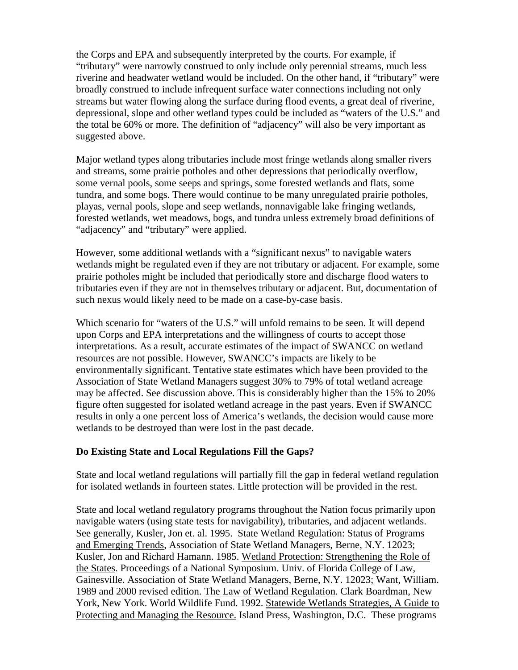the Corps and EPA and subsequently interpreted by the courts. For example, if "tributary" were narrowly construed to only include only perennial streams, much less riverine and headwater wetland would be included. On the other hand, if "tributary" were broadly construed to include infrequent surface water connections including not only streams but water flowing along the surface during flood events, a great deal of riverine, depressional, slope and other wetland types could be included as "waters of the U.S." and the total be 60% or more. The definition of "adjacency" will also be very important as suggested above.

Major wetland types along tributaries include most fringe wetlands along smaller rivers and streams, some prairie potholes and other depressions that periodically overflow, some vernal pools, some seeps and springs, some forested wetlands and flats, some tundra, and some bogs. There would continue to be many unregulated prairie potholes, playas, vernal pools, slope and seep wetlands, nonnavigable lake fringing wetlands, forested wetlands, wet meadows, bogs, and tundra unless extremely broad definitions of "adjacency" and "tributary" were applied.

However, some additional wetlands with a "significant nexus" to navigable waters wetlands might be regulated even if they are not tributary or adjacent. For example, some prairie potholes might be included that periodically store and discharge flood waters to tributaries even if they are not in themselves tributary or adjacent. But, documentation of such nexus would likely need to be made on a case-by-case basis.

Which scenario for "waters of the U.S." will unfold remains to be seen. It will depend upon Corps and EPA interpretations and the willingness of courts to accept those interpretations. As a result, accurate estimates of the impact of SWANCC on wetland resources are not possible. However, SWANCC's impacts are likely to be environmentally significant. Tentative state estimates which have been provided to the Association of State Wetland Managers suggest 30% to 79% of total wetland acreage may be affected. See discussion above. This is considerably higher than the 15% to 20% figure often suggested for isolated wetland acreage in the past years. Even if SWANCC results in only a one percent loss of America's wetlands, the decision would cause more wetlands to be destroyed than were lost in the past decade.

## **Do Existing State and Local Regulations Fill the Gaps?**

State and local wetland regulations will partially fill the gap in federal wetland regulation for isolated wetlands in fourteen states. Little protection will be provided in the rest.

State and local wetland regulatory programs throughout the Nation focus primarily upon navigable waters (using state tests for navigability), tributaries, and adjacent wetlands. See generally, Kusler, Jon et. al. 1995. State Wetland Regulation: Status of Programs and Emerging Trends, Association of State Wetland Managers, Berne, N.Y. 12023; Kusler, Jon and Richard Hamann. 1985. Wetland Protection: Strengthening the Role of the States. Proceedings of a National Symposium. Univ. of Florida College of Law, Gainesville. Association of State Wetland Managers, Berne, N.Y. 12023; Want, William. 1989 and 2000 revised edition. The Law of Wetland Regulation. Clark Boardman, New York, New York. World Wildlife Fund. 1992. Statewide Wetlands Strategies, A Guide to Protecting and Managing the Resource. Island Press, Washington, D.C. These programs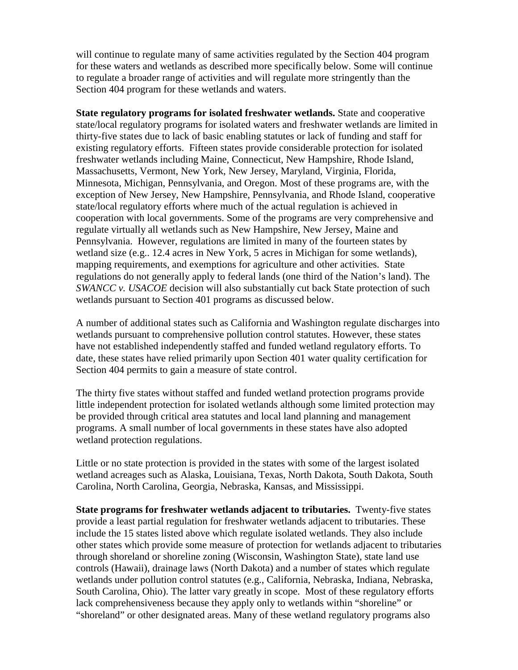will continue to regulate many of same activities regulated by the Section 404 program for these waters and wetlands as described more specifically below. Some will continue to regulate a broader range of activities and will regulate more stringently than the Section 404 program for these wetlands and waters.

**State regulatory programs for isolated freshwater wetlands.** State and cooperative state/local regulatory programs for isolated waters and freshwater wetlands are limited in thirty-five states due to lack of basic enabling statutes or lack of funding and staff for existing regulatory efforts. Fifteen states provide considerable protection for isolated freshwater wetlands including Maine, Connecticut, New Hampshire, Rhode Island, Massachusetts, Vermont, New York, New Jersey, Maryland, Virginia, Florida, Minnesota, Michigan, Pennsylvania, and Oregon. Most of these programs are, with the exception of New Jersey, New Hampshire, Pennsylvania, and Rhode Island, cooperative state/local regulatory efforts where much of the actual regulation is achieved in cooperation with local governments. Some of the programs are very comprehensive and regulate virtually all wetlands such as New Hampshire, New Jersey, Maine and Pennsylvania. However, regulations are limited in many of the fourteen states by wetland size (e.g.. 12.4 acres in New York, 5 acres in Michigan for some wetlands), mapping requirements, and exemptions for agriculture and other activities. State regulations do not generally apply to federal lands (one third of the Nation's land). The *SWANCC v. USACOE* decision will also substantially cut back State protection of such wetlands pursuant to Section 401 programs as discussed below.

A number of additional states such as California and Washington regulate discharges into wetlands pursuant to comprehensive pollution control statutes. However, these states have not established independently staffed and funded wetland regulatory efforts. To date, these states have relied primarily upon Section 401 water quality certification for Section 404 permits to gain a measure of state control.

The thirty five states without staffed and funded wetland protection programs provide little independent protection for isolated wetlands although some limited protection may be provided through critical area statutes and local land planning and management programs. A small number of local governments in these states have also adopted wetland protection regulations.

Little or no state protection is provided in the states with some of the largest isolated wetland acreages such as Alaska, Louisiana, Texas, North Dakota, South Dakota, South Carolina, North Carolina, Georgia, Nebraska, Kansas, and Mississippi.

**State programs for freshwater wetlands adjacent to tributaries.** Twenty-five states provide a least partial regulation for freshwater wetlands adjacent to tributaries. These include the 15 states listed above which regulate isolated wetlands. They also include other states which provide some measure of protection for wetlands adjacent to tributaries through shoreland or shoreline zoning (Wisconsin, Washington State), state land use controls (Hawaii), drainage laws (North Dakota) and a number of states which regulate wetlands under pollution control statutes (e.g., California, Nebraska, Indiana, Nebraska, South Carolina, Ohio). The latter vary greatly in scope. Most of these regulatory efforts lack comprehensiveness because they apply only to wetlands within "shoreline" or "shoreland" or other designated areas. Many of these wetland regulatory programs also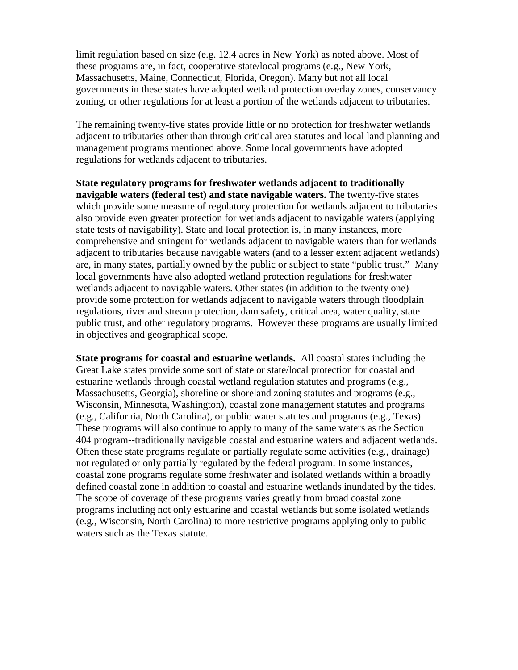limit regulation based on size (e.g. 12.4 acres in New York) as noted above. Most of these programs are, in fact, cooperative state/local programs (e.g., New York, Massachusetts, Maine, Connecticut, Florida, Oregon). Many but not all local governments in these states have adopted wetland protection overlay zones, conservancy zoning, or other regulations for at least a portion of the wetlands adjacent to tributaries.

The remaining twenty-five states provide little or no protection for freshwater wetlands adjacent to tributaries other than through critical area statutes and local land planning and management programs mentioned above. Some local governments have adopted regulations for wetlands adjacent to tributaries.

**State regulatory programs for freshwater wetlands adjacent to traditionally navigable waters (federal test) and state navigable waters.** The twenty-five states which provide some measure of regulatory protection for wetlands adjacent to tributaries also provide even greater protection for wetlands adjacent to navigable waters (applying state tests of navigability). State and local protection is, in many instances, more comprehensive and stringent for wetlands adjacent to navigable waters than for wetlands adjacent to tributaries because navigable waters (and to a lesser extent adjacent wetlands) are, in many states, partially owned by the public or subject to state "public trust." Many local governments have also adopted wetland protection regulations for freshwater wetlands adjacent to navigable waters. Other states (in addition to the twenty one) provide some protection for wetlands adjacent to navigable waters through floodplain regulations, river and stream protection, dam safety, critical area, water quality, state public trust, and other regulatory programs. However these programs are usually limited in objectives and geographical scope.

**State programs for coastal and estuarine wetlands.** All coastal states including the Great Lake states provide some sort of state or state/local protection for coastal and estuarine wetlands through coastal wetland regulation statutes and programs (e.g., Massachusetts, Georgia), shoreline or shoreland zoning statutes and programs (e.g., Wisconsin, Minnesota, Washington), coastal zone management statutes and programs (e.g., California, North Carolina), or public water statutes and programs (e.g., Texas). These programs will also continue to apply to many of the same waters as the Section 404 program--traditionally navigable coastal and estuarine waters and adjacent wetlands. Often these state programs regulate or partially regulate some activities (e.g., drainage) not regulated or only partially regulated by the federal program. In some instances, coastal zone programs regulate some freshwater and isolated wetlands within a broadly defined coastal zone in addition to coastal and estuarine wetlands inundated by the tides. The scope of coverage of these programs varies greatly from broad coastal zone programs including not only estuarine and coastal wetlands but some isolated wetlands (e.g., Wisconsin, North Carolina) to more restrictive programs applying only to public waters such as the Texas statute.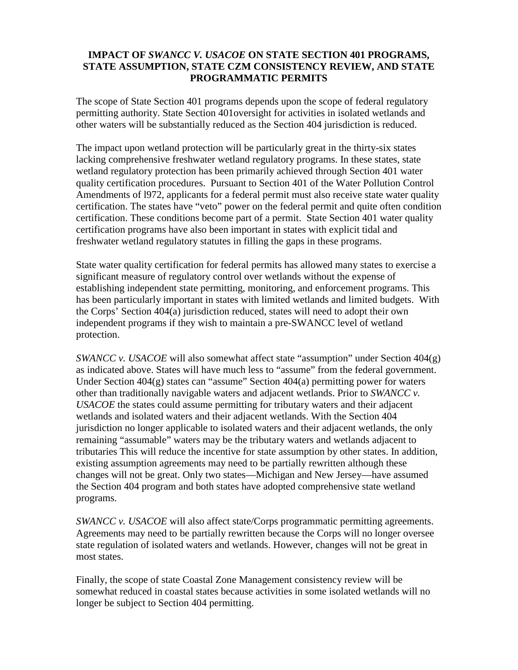## **IMPACT OF** *SWANCC V. USACOE* **ON STATE SECTION 401 PROGRAMS, STATE ASSUMPTION, STATE CZM CONSISTENCY REVIEW, AND STATE PROGRAMMATIC PERMITS**

The scope of State Section 401 programs depends upon the scope of federal regulatory permitting authority. State Section 401oversight for activities in isolated wetlands and other waters will be substantially reduced as the Section 404 jurisdiction is reduced.

The impact upon wetland protection will be particularly great in the thirty-six states lacking comprehensive freshwater wetland regulatory programs. In these states, state wetland regulatory protection has been primarily achieved through Section 401 water quality certification procedures. Pursuant to Section 401 of the Water Pollution Control Amendments of l972, applicants for a federal permit must also receive state water quality certification. The states have "veto" power on the federal permit and quite often condition certification. These conditions become part of a permit. State Section 401 water quality certification programs have also been important in states with explicit tidal and freshwater wetland regulatory statutes in filling the gaps in these programs.

State water quality certification for federal permits has allowed many states to exercise a significant measure of regulatory control over wetlands without the expense of establishing independent state permitting, monitoring, and enforcement programs. This has been particularly important in states with limited wetlands and limited budgets. With the Corps' Section 404(a) jurisdiction reduced, states will need to adopt their own independent programs if they wish to maintain a pre-SWANCC level of wetland protection.

*SWANCC v. USACOE* will also somewhat affect state "assumption" under Section 404(g) as indicated above. States will have much less to "assume" from the federal government. Under Section  $404(g)$  states can "assume" Section  $404(a)$  permitting power for waters other than traditionally navigable waters and adjacent wetlands. Prior to *SWANCC v. USACOE* the states could assume permitting for tributary waters and their adjacent wetlands and isolated waters and their adjacent wetlands. With the Section 404 jurisdiction no longer applicable to isolated waters and their adjacent wetlands, the only remaining "assumable" waters may be the tributary waters and wetlands adjacent to tributaries This will reduce the incentive for state assumption by other states. In addition, existing assumption agreements may need to be partially rewritten although these changes will not be great. Only two states—Michigan and New Jersey—have assumed the Section 404 program and both states have adopted comprehensive state wetland programs.

*SWANCC v. USACOE* will also affect state/Corps programmatic permitting agreements. Agreements may need to be partially rewritten because the Corps will no longer oversee state regulation of isolated waters and wetlands. However, changes will not be great in most states.

Finally, the scope of state Coastal Zone Management consistency review will be somewhat reduced in coastal states because activities in some isolated wetlands will no longer be subject to Section 404 permitting.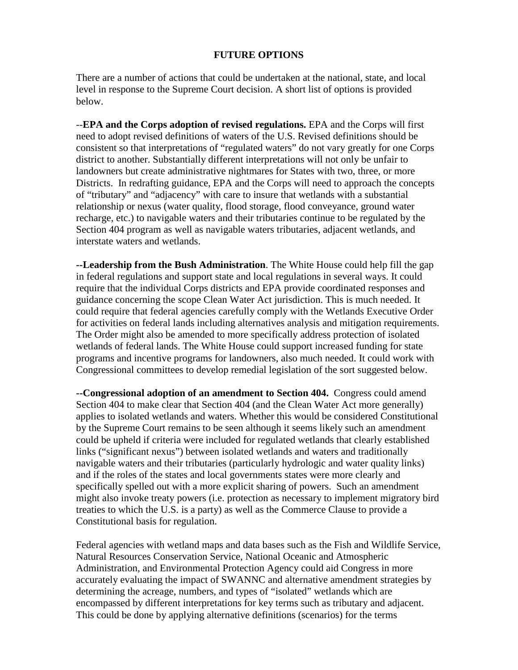#### **FUTURE OPTIONS**

There are a number of actions that could be undertaken at the national, state, and local level in response to the Supreme Court decision. A short list of options is provided below.

--**EPA and the Corps adoption of revised regulations.** EPA and the Corps will first need to adopt revised definitions of waters of the U.S. Revised definitions should be consistent so that interpretations of "regulated waters" do not vary greatly for one Corps district to another. Substantially different interpretations will not only be unfair to landowners but create administrative nightmares for States with two, three, or more Districts. In redrafting guidance, EPA and the Corps will need to approach the concepts of "tributary" and "adjacency" with care to insure that wetlands with a substantial relationship or nexus (water quality, flood storage, flood conveyance, ground water recharge, etc.) to navigable waters and their tributaries continue to be regulated by the Section 404 program as well as navigable waters tributaries, adjacent wetlands, and interstate waters and wetlands.

**--Leadership from the Bush Administration**. The White House could help fill the gap in federal regulations and support state and local regulations in several ways. It could require that the individual Corps districts and EPA provide coordinated responses and guidance concerning the scope Clean Water Act jurisdiction. This is much needed. It could require that federal agencies carefully comply with the Wetlands Executive Order for activities on federal lands including alternatives analysis and mitigation requirements. The Order might also be amended to more specifically address protection of isolated wetlands of federal lands. The White House could support increased funding for state programs and incentive programs for landowners, also much needed. It could work with Congressional committees to develop remedial legislation of the sort suggested below.

**--Congressional adoption of an amendment to Section 404.** Congress could amend Section 404 to make clear that Section 404 (and the Clean Water Act more generally) applies to isolated wetlands and waters. Whether this would be considered Constitutional by the Supreme Court remains to be seen although it seems likely such an amendment could be upheld if criteria were included for regulated wetlands that clearly established links ("significant nexus") between isolated wetlands and waters and traditionally navigable waters and their tributaries (particularly hydrologic and water quality links) and if the roles of the states and local governments states were more clearly and specifically spelled out with a more explicit sharing of powers. Such an amendment might also invoke treaty powers (i.e. protection as necessary to implement migratory bird treaties to which the U.S. is a party) as well as the Commerce Clause to provide a Constitutional basis for regulation.

Federal agencies with wetland maps and data bases such as the Fish and Wildlife Service, Natural Resources Conservation Service, National Oceanic and Atmospheric Administration, and Environmental Protection Agency could aid Congress in more accurately evaluating the impact of SWANNC and alternative amendment strategies by determining the acreage, numbers, and types of "isolated" wetlands which are encompassed by different interpretations for key terms such as tributary and adjacent. This could be done by applying alternative definitions (scenarios) for the terms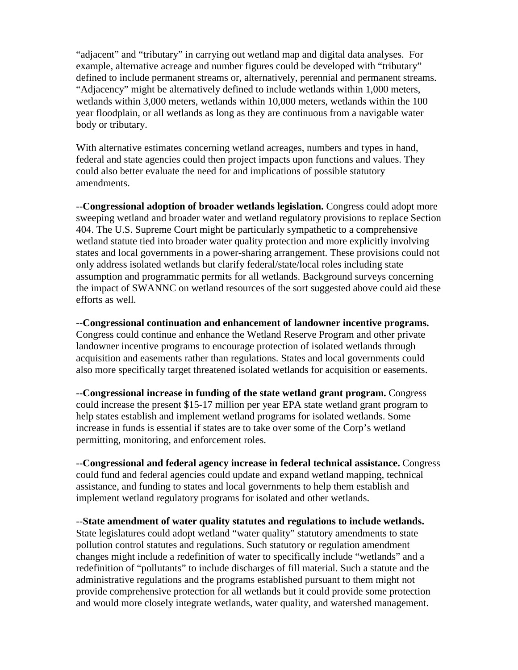"adjacent" and "tributary" in carrying out wetland map and digital data analyses. For example, alternative acreage and number figures could be developed with "tributary" defined to include permanent streams or, alternatively, perennial and permanent streams. "Adjacency" might be alternatively defined to include wetlands within 1,000 meters, wetlands within 3,000 meters, wetlands within 10,000 meters, wetlands within the 100 year floodplain, or all wetlands as long as they are continuous from a navigable water body or tributary.

With alternative estimates concerning wetland acreages, numbers and types in hand, federal and state agencies could then project impacts upon functions and values. They could also better evaluate the need for and implications of possible statutory amendments.

--**Congressional adoption of broader wetlands legislation.** Congress could adopt more sweeping wetland and broader water and wetland regulatory provisions to replace Section 404. The U.S. Supreme Court might be particularly sympathetic to a comprehensive wetland statute tied into broader water quality protection and more explicitly involving states and local governments in a power-sharing arrangement. These provisions could not only address isolated wetlands but clarify federal/state/local roles including state assumption and programmatic permits for all wetlands. Background surveys concerning the impact of SWANNC on wetland resources of the sort suggested above could aid these efforts as well.

--**Congressional continuation and enhancement of landowner incentive programs.**

Congress could continue and enhance the Wetland Reserve Program and other private landowner incentive programs to encourage protection of isolated wetlands through acquisition and easements rather than regulations. States and local governments could also more specifically target threatened isolated wetlands for acquisition or easements.

--**Congressional increase in funding of the state wetland grant program.** Congress could increase the present \$15-17 million per year EPA state wetland grant program to help states establish and implement wetland programs for isolated wetlands. Some increase in funds is essential if states are to take over some of the Corp's wetland permitting, monitoring, and enforcement roles.

--**Congressional and federal agency increase in federal technical assistance.** Congress could fund and federal agencies could update and expand wetland mapping, technical assistance, and funding to states and local governments to help them establish and implement wetland regulatory programs for isolated and other wetlands.

--**State amendment of water quality statutes and regulations to include wetlands.** State legislatures could adopt wetland "water quality" statutory amendments to state pollution control statutes and regulations. Such statutory or regulation amendment changes might include a redefinition of water to specifically include "wetlands" and a redefinition of "pollutants" to include discharges of fill material. Such a statute and the administrative regulations and the programs established pursuant to them might not provide comprehensive protection for all wetlands but it could provide some protection and would more closely integrate wetlands, water quality, and watershed management.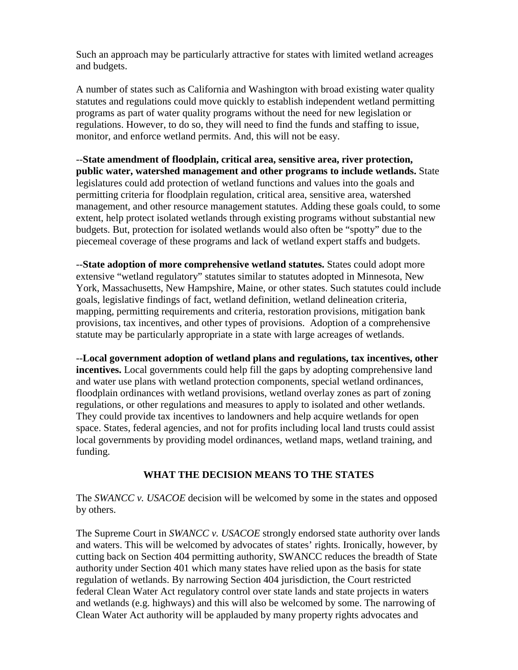Such an approach may be particularly attractive for states with limited wetland acreages and budgets.

A number of states such as California and Washington with broad existing water quality statutes and regulations could move quickly to establish independent wetland permitting programs as part of water quality programs without the need for new legislation or regulations. However, to do so, they will need to find the funds and staffing to issue, monitor, and enforce wetland permits. And, this will not be easy.

--**State amendment of floodplain, critical area, sensitive area, river protection, public water, watershed management and other programs to include wetlands.** State legislatures could add protection of wetland functions and values into the goals and permitting criteria for floodplain regulation, critical area, sensitive area, watershed management, and other resource management statutes. Adding these goals could, to some extent, help protect isolated wetlands through existing programs without substantial new budgets. But, protection for isolated wetlands would also often be "spotty" due to the piecemeal coverage of these programs and lack of wetland expert staffs and budgets.

--**State adoption of more comprehensive wetland statutes.** States could adopt more extensive "wetland regulatory" statutes similar to statutes adopted in Minnesota, New York, Massachusetts, New Hampshire, Maine, or other states. Such statutes could include goals, legislative findings of fact, wetland definition, wetland delineation criteria, mapping, permitting requirements and criteria, restoration provisions, mitigation bank provisions, tax incentives, and other types of provisions. Adoption of a comprehensive statute may be particularly appropriate in a state with large acreages of wetlands.

--**Local government adoption of wetland plans and regulations, tax incentives, other incentives.** Local governments could help fill the gaps by adopting comprehensive land and water use plans with wetland protection components, special wetland ordinances, floodplain ordinances with wetland provisions, wetland overlay zones as part of zoning regulations, or other regulations and measures to apply to isolated and other wetlands. They could provide tax incentives to landowners and help acquire wetlands for open space. States, federal agencies, and not for profits including local land trusts could assist local governments by providing model ordinances, wetland maps, wetland training, and funding.

## **WHAT THE DECISION MEANS TO THE STATES**

The *SWANCC v. USACOE* decision will be welcomed by some in the states and opposed by others.

The Supreme Court in *SWANCC v. USACOE* strongly endorsed state authority over lands and waters. This will be welcomed by advocates of states' rights. Ironically, however, by cutting back on Section 404 permitting authority, SWANCC reduces the breadth of State authority under Section 401 which many states have relied upon as the basis for state regulation of wetlands. By narrowing Section 404 jurisdiction, the Court restricted federal Clean Water Act regulatory control over state lands and state projects in waters and wetlands (e.g. highways) and this will also be welcomed by some. The narrowing of Clean Water Act authority will be applauded by many property rights advocates and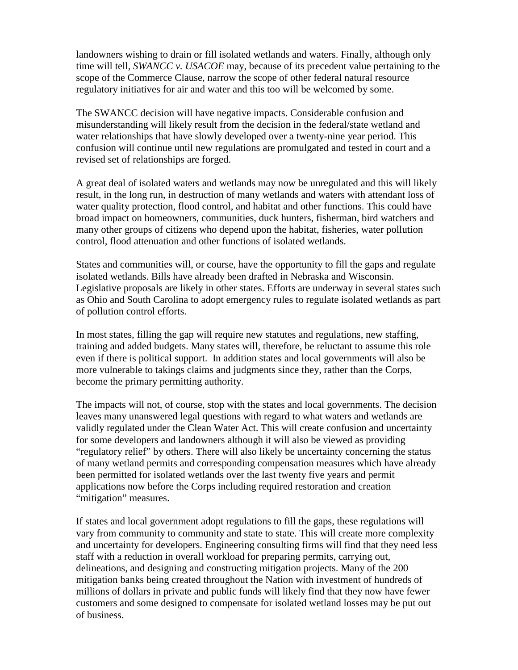landowners wishing to drain or fill isolated wetlands and waters. Finally, although only time will tell, *SWANCC v. USACOE* may, because of its precedent value pertaining to the scope of the Commerce Clause, narrow the scope of other federal natural resource regulatory initiatives for air and water and this too will be welcomed by some.

The SWANCC decision will have negative impacts. Considerable confusion and misunderstanding will likely result from the decision in the federal/state wetland and water relationships that have slowly developed over a twenty-nine year period. This confusion will continue until new regulations are promulgated and tested in court and a revised set of relationships are forged.

A great deal of isolated waters and wetlands may now be unregulated and this will likely result, in the long run, in destruction of many wetlands and waters with attendant loss of water quality protection, flood control, and habitat and other functions. This could have broad impact on homeowners, communities, duck hunters, fisherman, bird watchers and many other groups of citizens who depend upon the habitat, fisheries, water pollution control, flood attenuation and other functions of isolated wetlands.

States and communities will, or course, have the opportunity to fill the gaps and regulate isolated wetlands. Bills have already been drafted in Nebraska and Wisconsin. Legislative proposals are likely in other states. Efforts are underway in several states such as Ohio and South Carolina to adopt emergency rules to regulate isolated wetlands as part of pollution control efforts.

In most states, filling the gap will require new statutes and regulations, new staffing, training and added budgets. Many states will, therefore, be reluctant to assume this role even if there is political support. In addition states and local governments will also be more vulnerable to takings claims and judgments since they, rather than the Corps, become the primary permitting authority.

The impacts will not, of course, stop with the states and local governments. The decision leaves many unanswered legal questions with regard to what waters and wetlands are validly regulated under the Clean Water Act. This will create confusion and uncertainty for some developers and landowners although it will also be viewed as providing "regulatory relief" by others. There will also likely be uncertainty concerning the status of many wetland permits and corresponding compensation measures which have already been permitted for isolated wetlands over the last twenty five years and permit applications now before the Corps including required restoration and creation "mitigation" measures.

If states and local government adopt regulations to fill the gaps, these regulations will vary from community to community and state to state. This will create more complexity and uncertainty for developers. Engineering consulting firms will find that they need less staff with a reduction in overall workload for preparing permits, carrying out, delineations, and designing and constructing mitigation projects. Many of the 200 mitigation banks being created throughout the Nation with investment of hundreds of millions of dollars in private and public funds will likely find that they now have fewer customers and some designed to compensate for isolated wetland losses may be put out of business.